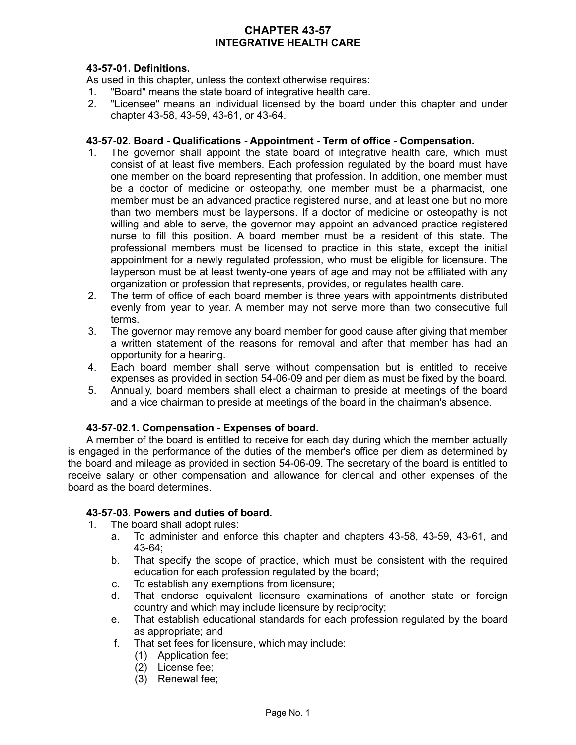# **CHAPTER 43-57 INTEGRATIVE HEALTH CARE**

# **43-57-01. Definitions.**

As used in this chapter, unless the context otherwise requires:

- 1. "Board" means the state board of integrative health care.
- 2. "Licensee" means an individual licensed by the board under this chapter and under chapter 43-58, 43-59, 43-61, or 43-64.

#### **43-57-02. Board - Qualifications - Appointment - Term of office - Compensation.**

- 1. The governor shall appoint the state board of integrative health care, which must consist of at least five members. Each profession regulated by the board must have one member on the board representing that profession. In addition, one member must be a doctor of medicine or osteopathy, one member must be a pharmacist, one member must be an advanced practice registered nurse, and at least one but no more than two members must be laypersons. If a doctor of medicine or osteopathy is not willing and able to serve, the governor may appoint an advanced practice registered nurse to fill this position. A board member must be a resident of this state. The professional members must be licensed to practice in this state, except the initial appointment for a newly regulated profession, who must be eligible for licensure. The layperson must be at least twenty-one years of age and may not be affiliated with any organization or profession that represents, provides, or regulates health care.
- 2. The term of office of each board member is three years with appointments distributed evenly from year to year. A member may not serve more than two consecutive full terms.
- 3. The governor may remove any board member for good cause after giving that member a written statement of the reasons for removal and after that member has had an opportunity for a hearing.
- 4. Each board member shall serve without compensation but is entitled to receive expenses as provided in section 54-06-09 and per diem as must be fixed by the board.
- 5. Annually, board members shall elect a chairman to preside at meetings of the board and a vice chairman to preside at meetings of the board in the chairman's absence.

### **43-57-02.1. Compensation - Expenses of board.**

A member of the board is entitled to receive for each day during which the member actually is engaged in the performance of the duties of the member's office per diem as determined by the board and mileage as provided in section 54-06-09. The secretary of the board is entitled to receive salary or other compensation and allowance for clerical and other expenses of the board as the board determines.

#### **43-57-03. Powers and duties of board.**

- 1. The board shall adopt rules:
	- a. To administer and enforce this chapter and chapters 43-58, 43-59, 43-61, and 43-64;
	- b. That specify the scope of practice, which must be consistent with the required education for each profession regulated by the board;
	- c. To establish any exemptions from licensure;
	- d. That endorse equivalent licensure examinations of another state or foreign country and which may include licensure by reciprocity;
	- e. That establish educational standards for each profession regulated by the board as appropriate; and
	- f. That set fees for licensure, which may include:
		- (1) Application fee;
		- (2) License fee;
		- (3) Renewal fee;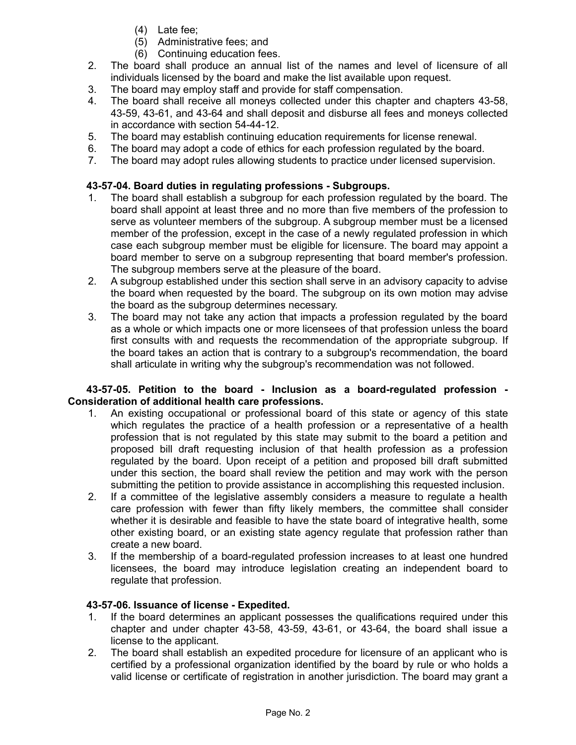- (4) Late fee;
- (5) Administrative fees; and
- (6) Continuing education fees.
- 2. The board shall produce an annual list of the names and level of licensure of all individuals licensed by the board and make the list available upon request.
- 3. The board may employ staff and provide for staff compensation.
- 4. The board shall receive all moneys collected under this chapter and chapters 43-58, 43-59, 43-61, and 43-64 and shall deposit and disburse all fees and moneys collected in accordance with section 54-44-12.
- 5. The board may establish continuing education requirements for license renewal.
- 6. The board may adopt a code of ethics for each profession regulated by the board.
- 7. The board may adopt rules allowing students to practice under licensed supervision.

# **43-57-04. Board duties in regulating professions - Subgroups.**

- 1. The board shall establish a subgroup for each profession regulated by the board. The board shall appoint at least three and no more than five members of the profession to serve as volunteer members of the subgroup. A subgroup member must be a licensed member of the profession, except in the case of a newly regulated profession in which case each subgroup member must be eligible for licensure. The board may appoint a board member to serve on a subgroup representing that board member's profession. The subgroup members serve at the pleasure of the board.
- 2. A subgroup established under this section shall serve in an advisory capacity to advise the board when requested by the board. The subgroup on its own motion may advise the board as the subgroup determines necessary.
- 3. The board may not take any action that impacts a profession regulated by the board as a whole or which impacts one or more licensees of that profession unless the board first consults with and requests the recommendation of the appropriate subgroup. If the board takes an action that is contrary to a subgroup's recommendation, the board shall articulate in writing why the subgroup's recommendation was not followed.

### **43-57-05. Petition to the board - Inclusion as a board-regulated profession - Consideration of additional health care professions.**

- 1. An existing occupational or professional board of this state or agency of this state which regulates the practice of a health profession or a representative of a health profession that is not regulated by this state may submit to the board a petition and proposed bill draft requesting inclusion of that health profession as a profession regulated by the board. Upon receipt of a petition and proposed bill draft submitted under this section, the board shall review the petition and may work with the person submitting the petition to provide assistance in accomplishing this requested inclusion.
- 2. If a committee of the legislative assembly considers a measure to regulate a health care profession with fewer than fifty likely members, the committee shall consider whether it is desirable and feasible to have the state board of integrative health, some other existing board, or an existing state agency regulate that profession rather than create a new board.
- 3. If the membership of a board-regulated profession increases to at least one hundred licensees, the board may introduce legislation creating an independent board to regulate that profession.

# **43-57-06. Issuance of license - Expedited.**

- 1. If the board determines an applicant possesses the qualifications required under this chapter and under chapter 43-58, 43-59, 43-61, or 43-64, the board shall issue a license to the applicant.
- 2. The board shall establish an expedited procedure for licensure of an applicant who is certified by a professional organization identified by the board by rule or who holds a valid license or certificate of registration in another jurisdiction. The board may grant a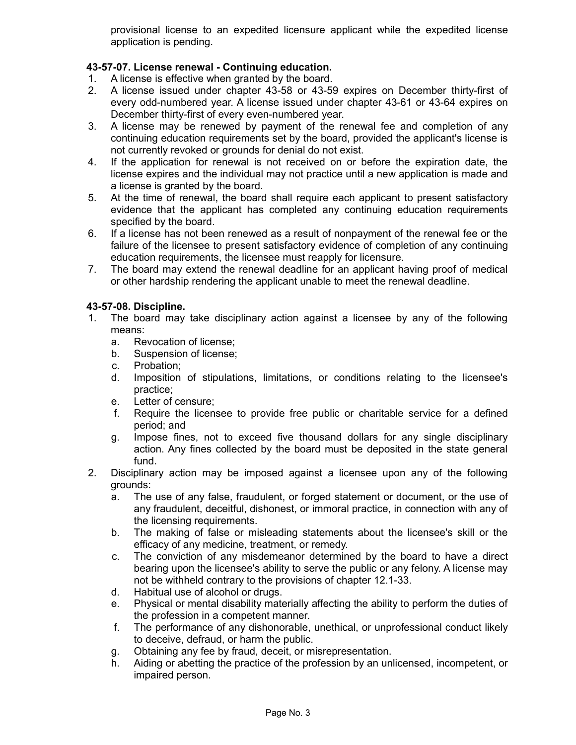provisional license to an expedited licensure applicant while the expedited license application is pending.

# **43-57-07. License renewal - Continuing education.**

- 1. A license is effective when granted by the board.
- 2. A license issued under chapter 43-58 or 43-59 expires on December thirty-first of every odd-numbered year. A license issued under chapter 43-61 or 43-64 expires on December thirty-first of every even-numbered year.
- 3. A license may be renewed by payment of the renewal fee and completion of any continuing education requirements set by the board, provided the applicant's license is not currently revoked or grounds for denial do not exist.
- 4. If the application for renewal is not received on or before the expiration date, the license expires and the individual may not practice until a new application is made and a license is granted by the board.
- 5. At the time of renewal, the board shall require each applicant to present satisfactory evidence that the applicant has completed any continuing education requirements specified by the board.
- 6. If a license has not been renewed as a result of nonpayment of the renewal fee or the failure of the licensee to present satisfactory evidence of completion of any continuing education requirements, the licensee must reapply for licensure.
- 7. The board may extend the renewal deadline for an applicant having proof of medical or other hardship rendering the applicant unable to meet the renewal deadline.

### **43-57-08. Discipline.**

- 1. The board may take disciplinary action against a licensee by any of the following means:
	- a. Revocation of license;
	- b. Suspension of license;
	- c. Probation;
	- d. Imposition of stipulations, limitations, or conditions relating to the licensee's practice;
	- e. Letter of censure;
	- f. Require the licensee to provide free public or charitable service for a defined period; and
	- g. Impose fines, not to exceed five thousand dollars for any single disciplinary action. Any fines collected by the board must be deposited in the state general fund.
- 2. Disciplinary action may be imposed against a licensee upon any of the following grounds:
	- a. The use of any false, fraudulent, or forged statement or document, or the use of any fraudulent, deceitful, dishonest, or immoral practice, in connection with any of the licensing requirements.
	- b. The making of false or misleading statements about the licensee's skill or the efficacy of any medicine, treatment, or remedy.
	- c. The conviction of any misdemeanor determined by the board to have a direct bearing upon the licensee's ability to serve the public or any felony. A license may not be withheld contrary to the provisions of chapter 12.1-33.
	- d. Habitual use of alcohol or drugs.
	- e. Physical or mental disability materially affecting the ability to perform the duties of the profession in a competent manner.
	- f. The performance of any dishonorable, unethical, or unprofessional conduct likely to deceive, defraud, or harm the public.
	- g. Obtaining any fee by fraud, deceit, or misrepresentation.
	- h. Aiding or abetting the practice of the profession by an unlicensed, incompetent, or impaired person.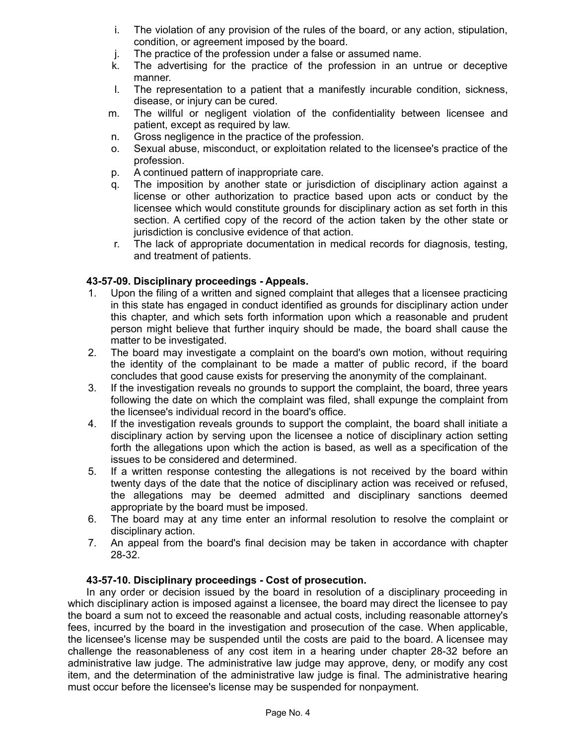- i. The violation of any provision of the rules of the board, or any action, stipulation, condition, or agreement imposed by the board.
- j. The practice of the profession under a false or assumed name.
- k. The advertising for the practice of the profession in an untrue or deceptive manner.
- l. The representation to a patient that a manifestly incurable condition, sickness, disease, or injury can be cured.
- m. The willful or negligent violation of the confidentiality between licensee and patient, except as required by law.
- n. Gross negligence in the practice of the profession.
- o. Sexual abuse, misconduct, or exploitation related to the licensee's practice of the profession.
- p. A continued pattern of inappropriate care.
- q. The imposition by another state or jurisdiction of disciplinary action against a license or other authorization to practice based upon acts or conduct by the licensee which would constitute grounds for disciplinary action as set forth in this section. A certified copy of the record of the action taken by the other state or jurisdiction is conclusive evidence of that action.
- r. The lack of appropriate documentation in medical records for diagnosis, testing, and treatment of patients.

# **43-57-09. Disciplinary proceedings - Appeals.**

- 1. Upon the filing of a written and signed complaint that alleges that a licensee practicing in this state has engaged in conduct identified as grounds for disciplinary action under this chapter, and which sets forth information upon which a reasonable and prudent person might believe that further inquiry should be made, the board shall cause the matter to be investigated.
- 2. The board may investigate a complaint on the board's own motion, without requiring the identity of the complainant to be made a matter of public record, if the board concludes that good cause exists for preserving the anonymity of the complainant.
- 3. If the investigation reveals no grounds to support the complaint, the board, three years following the date on which the complaint was filed, shall expunge the complaint from the licensee's individual record in the board's office.
- 4. If the investigation reveals grounds to support the complaint, the board shall initiate a disciplinary action by serving upon the licensee a notice of disciplinary action setting forth the allegations upon which the action is based, as well as a specification of the issues to be considered and determined.
- 5. If a written response contesting the allegations is not received by the board within twenty days of the date that the notice of disciplinary action was received or refused, the allegations may be deemed admitted and disciplinary sanctions deemed appropriate by the board must be imposed.
- 6. The board may at any time enter an informal resolution to resolve the complaint or disciplinary action.
- 7. An appeal from the board's final decision may be taken in accordance with chapter 28-32.

### **43-57-10. Disciplinary proceedings - Cost of prosecution.**

In any order or decision issued by the board in resolution of a disciplinary proceeding in which disciplinary action is imposed against a licensee, the board may direct the licensee to pay the board a sum not to exceed the reasonable and actual costs, including reasonable attorney's fees, incurred by the board in the investigation and prosecution of the case. When applicable, the licensee's license may be suspended until the costs are paid to the board. A licensee may challenge the reasonableness of any cost item in a hearing under chapter 28-32 before an administrative law judge. The administrative law judge may approve, deny, or modify any cost item, and the determination of the administrative law judge is final. The administrative hearing must occur before the licensee's license may be suspended for nonpayment.